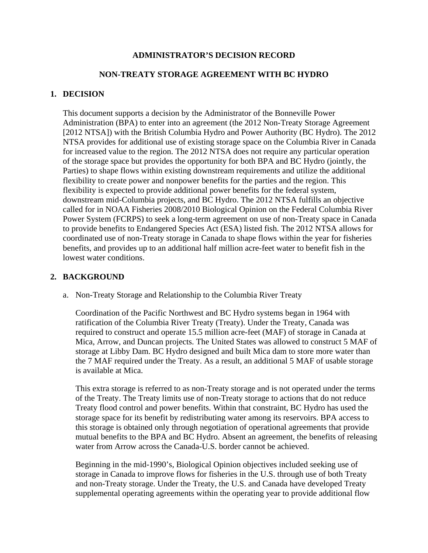### **ADMINISTRATOR'S DECISION RECORD**

### **NON-TREATY STORAGE AGREEMENT WITH BC HYDRO**

### **1. DECISION**

This document supports a decision by the Administrator of the Bonneville Power Administration (BPA) to enter into an agreement (the 2012 Non-Treaty Storage Agreement [2012 NTSA]) with the British Columbia Hydro and Power Authority (BC Hydro). The 2012 NTSA provides for additional use of existing storage space on the Columbia River in Canada for increased value to the region. The 2012 NTSA does not require any particular operation of the storage space but provides the opportunity for both BPA and BC Hydro (jointly, the Parties) to shape flows within existing downstream requirements and utilize the additional flexibility to create power and nonpower benefits for the parties and the region. This flexibility is expected to provide additional power benefits for the federal system, downstream mid-Columbia projects, and BC Hydro. The 2012 NTSA fulfills an objective called for in NOAA Fisheries 2008/2010 Biological Opinion on the Federal Columbia River Power System (FCRPS) to seek a long-term agreement on use of non-Treaty space in Canada to provide benefits to Endangered Species Act (ESA) listed fish. The 2012 NTSA allows for coordinated use of non-Treaty storage in Canada to shape flows within the year for fisheries benefits, and provides up to an additional half million acre-feet water to benefit fish in the lowest water conditions.

#### **2. BACKGROUND**

a. Non-Treaty Storage and Relationship to the Columbia River Treaty

Coordination of the Pacific Northwest and BC Hydro systems began in 1964 with ratification of the Columbia River Treaty (Treaty). Under the Treaty, Canada was required to construct and operate 15.5 million acre-feet (MAF) of storage in Canada at Mica, Arrow, and Duncan projects. The United States was allowed to construct 5 MAF of storage at Libby Dam. BC Hydro designed and built Mica dam to store more water than the 7 MAF required under the Treaty. As a result, an additional 5 MAF of usable storage is available at Mica.

This extra storage is referred to as non-Treaty storage and is not operated under the terms of the Treaty. The Treaty limits use of non-Treaty storage to actions that do not reduce Treaty flood control and power benefits. Within that constraint, BC Hydro has used the storage space for its benefit by redistributing water among its reservoirs. BPA access to this storage is obtained only through negotiation of operational agreements that provide mutual benefits to the BPA and BC Hydro. Absent an agreement, the benefits of releasing water from Arrow across the Canada-U.S. border cannot be achieved.

Beginning in the mid-1990's, Biological Opinion objectives included seeking use of storage in Canada to improve flows for fisheries in the U.S. through use of both Treaty and non-Treaty storage. Under the Treaty, the U.S. and Canada have developed Treaty supplemental operating agreements within the operating year to provide additional flow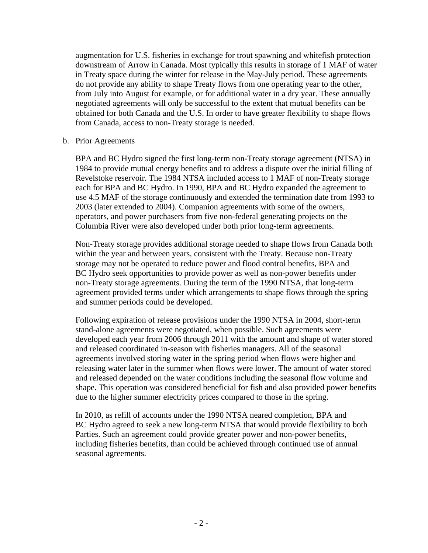augmentation for U.S. fisheries in exchange for trout spawning and whitefish protection downstream of Arrow in Canada. Most typically this results in storage of 1 MAF of water in Treaty space during the winter for release in the May-July period. These agreements do not provide any ability to shape Treaty flows from one operating year to the other, from July into August for example, or for additional water in a dry year. These annually negotiated agreements will only be successful to the extent that mutual benefits can be obtained for both Canada and the U.S. In order to have greater flexibility to shape flows from Canada, access to non-Treaty storage is needed.

#### b. Prior Agreements

BPA and BC Hydro signed the first long-term non-Treaty storage agreement (NTSA) in 1984 to provide mutual energy benefits and to address a dispute over the initial filling of Revelstoke reservoir. The 1984 NTSA included access to 1 MAF of non-Treaty storage each for BPA and BC Hydro. In 1990, BPA and BC Hydro expanded the agreement to use 4.5 MAF of the storage continuously and extended the termination date from 1993 to 2003 (later extended to 2004). Companion agreements with some of the owners, operators, and power purchasers from five non-federal generating projects on the Columbia River were also developed under both prior long-term agreements.

Non-Treaty storage provides additional storage needed to shape flows from Canada both within the year and between years, consistent with the Treaty. Because non-Treaty storage may not be operated to reduce power and flood control benefits, BPA and BC Hydro seek opportunities to provide power as well as non-power benefits under non-Treaty storage agreements. During the term of the 1990 NTSA, that long-term agreement provided terms under which arrangements to shape flows through the spring and summer periods could be developed.

Following expiration of release provisions under the 1990 NTSA in 2004, short-term stand-alone agreements were negotiated, when possible. Such agreements were developed each year from 2006 through 2011 with the amount and shape of water stored and released coordinated in-season with fisheries managers. All of the seasonal agreements involved storing water in the spring period when flows were higher and releasing water later in the summer when flows were lower. The amount of water stored and released depended on the water conditions including the seasonal flow volume and shape. This operation was considered beneficial for fish and also provided power benefits due to the higher summer electricity prices compared to those in the spring.

In 2010, as refill of accounts under the 1990 NTSA neared completion, BPA and BC Hydro agreed to seek a new long-term NTSA that would provide flexibility to both Parties. Such an agreement could provide greater power and non-power benefits, including fisheries benefits, than could be achieved through continued use of annual seasonal agreements.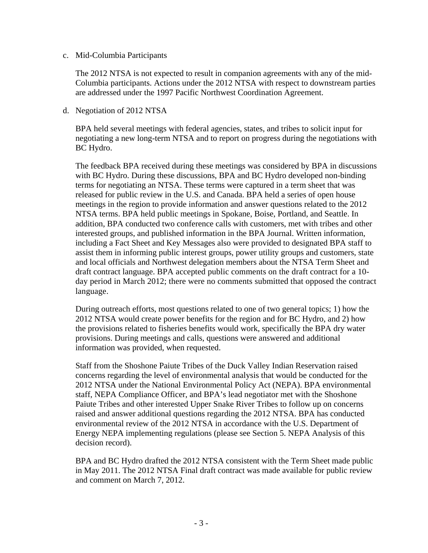#### c. Mid-Columbia Participants

The 2012 NTSA is not expected to result in companion agreements with any of the mid-Columbia participants. Actions under the 2012 NTSA with respect to downstream parties are addressed under the 1997 Pacific Northwest Coordination Agreement.

#### d. Negotiation of 2012 NTSA

BPA held several meetings with federal agencies, states, and tribes to solicit input for negotiating a new long-term NTSA and to report on progress during the negotiations with BC Hydro.

The feedback BPA received during these meetings was considered by BPA in discussions with BC Hydro. During these discussions, BPA and BC Hydro developed non-binding terms for negotiating an NTSA. These terms were captured in a term sheet that was released for public review in the U.S. and Canada. BPA held a series of open house meetings in the region to provide information and answer questions related to the 2012 NTSA terms. BPA held public meetings in Spokane, Boise, Portland, and Seattle. In addition, BPA conducted two conference calls with customers, met with tribes and other interested groups, and published information in the BPA Journal. Written information, including a Fact Sheet and Key Messages also were provided to designated BPA staff to assist them in informing public interest groups, power utility groups and customers, state and local officials and Northwest delegation members about the NTSA Term Sheet and draft contract language. BPA accepted public comments on the draft contract for a 10 day period in March 2012; there were no comments submitted that opposed the contract language.

During outreach efforts, most questions related to one of two general topics; 1) how the 2012 NTSA would create power benefits for the region and for BC Hydro, and 2) how the provisions related to fisheries benefits would work, specifically the BPA dry water provisions. During meetings and calls, questions were answered and additional information was provided, when requested.

Staff from the Shoshone Paiute Tribes of the Duck Valley Indian Reservation raised concerns regarding the level of environmental analysis that would be conducted for the 2012 NTSA under the National Environmental Policy Act (NEPA). BPA environmental staff, NEPA Compliance Officer, and BPA's lead negotiator met with the Shoshone Paiute Tribes and other interested Upper Snake River Tribes to follow up on concerns raised and answer additional questions regarding the 2012 NTSA. BPA has conducted environmental review of the 2012 NTSA in accordance with the U.S. Department of Energy NEPA implementing regulations (please see Section 5. NEPA Analysis of this decision record).

BPA and BC Hydro drafted the 2012 NTSA consistent with the Term Sheet made public in May 2011. The 2012 NTSA Final draft contract was made available for public review and comment on March 7, 2012.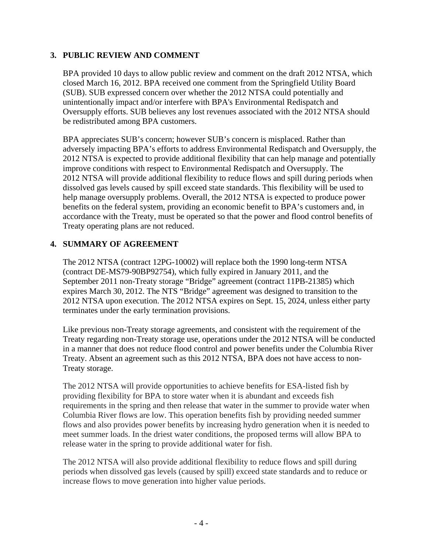# **3. PUBLIC REVIEW AND COMMENT**

BPA provided 10 days to allow public review and comment on the draft 2012 NTSA, which closed March 16, 2012. BPA received one comment from the Springfield Utility Board (SUB). SUB expressed concern over whether the 2012 NTSA could potentially and unintentionally impact and/or interfere with BPA's Environmental Redispatch and Oversupply efforts. SUB believes any lost revenues associated with the 2012 NTSA should be redistributed among BPA customers.

BPA appreciates SUB's concern; however SUB's concern is misplaced. Rather than adversely impacting BPA's efforts to address Environmental Redispatch and Oversupply, the 2012 NTSA is expected to provide additional flexibility that can help manage and potentially improve conditions with respect to Environmental Redispatch and Oversupply. The 2012 NTSA will provide additional flexibility to reduce flows and spill during periods when dissolved gas levels caused by spill exceed state standards. This flexibility will be used to help manage oversupply problems. Overall, the 2012 NTSA is expected to produce power benefits on the federal system, providing an economic benefit to BPA's customers and, in accordance with the Treaty, must be operated so that the power and flood control benefits of Treaty operating plans are not reduced.

# **4. SUMMARY OF AGREEMENT**

The 2012 NTSA (contract 12PG-10002) will replace both the 1990 long-term NTSA (contract DE-MS79-90BP92754), which fully expired in January 2011, and the September 2011 non-Treaty storage "Bridge" agreement (contract 11PB-21385) which expires March 30, 2012. The NTS "Bridge" agreement was designed to transition to the 2012 NTSA upon execution. The 2012 NTSA expires on Sept. 15, 2024, unless either party terminates under the early termination provisions.

Like previous non-Treaty storage agreements, and consistent with the requirement of the Treaty regarding non-Treaty storage use, operations under the 2012 NTSA will be conducted in a manner that does not reduce flood control and power benefits under the Columbia River Treaty. Absent an agreement such as this 2012 NTSA, BPA does not have access to non-Treaty storage.

The 2012 NTSA will provide opportunities to achieve benefits for ESA-listed fish by providing flexibility for BPA to store water when it is abundant and exceeds fish requirements in the spring and then release that water in the summer to provide water when Columbia River flows are low. This operation benefits fish by providing needed summer flows and also provides power benefits by increasing hydro generation when it is needed to meet summer loads. In the driest water conditions, the proposed terms will allow BPA to release water in the spring to provide additional water for fish.

The 2012 NTSA will also provide additional flexibility to reduce flows and spill during periods when dissolved gas levels (caused by spill) exceed state standards and to reduce or increase flows to move generation into higher value periods.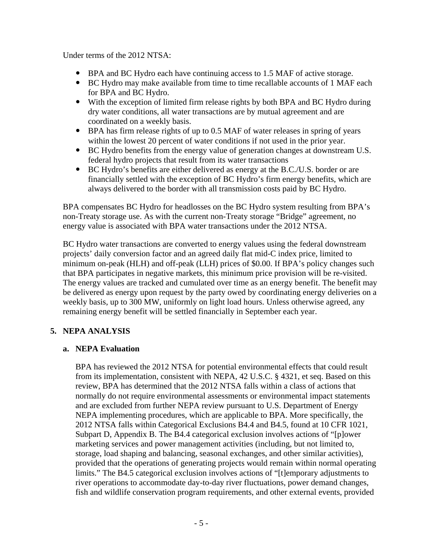Under terms of the 2012 NTSA:

- BPA and BC Hydro each have continuing access to 1.5 MAF of active storage.
- BC Hydro may make available from time to time recallable accounts of 1 MAF each for BPA and BC Hydro.
- With the exception of limited firm release rights by both BPA and BC Hydro during dry water conditions, all water transactions are by mutual agreement and are coordinated on a weekly basis.
- BPA has firm release rights of up to 0.5 MAF of water releases in spring of years within the lowest 20 percent of water conditions if not used in the prior year.
- BC Hydro benefits from the energy value of generation changes at downstream U.S. federal hydro projects that result from its water transactions
- BC Hydro's benefits are either delivered as energy at the B.C./U.S. border or are financially settled with the exception of BC Hydro's firm energy benefits, which are always delivered to the border with all transmission costs paid by BC Hydro.

BPA compensates BC Hydro for headlosses on the BC Hydro system resulting from BPA's non-Treaty storage use. As with the current non-Treaty storage "Bridge" agreement, no energy value is associated with BPA water transactions under the 2012 NTSA.

BC Hydro water transactions are converted to energy values using the federal downstream projects' daily conversion factor and an agreed daily flat mid-C index price, limited to minimum on-peak (HLH) and off-peak (LLH) prices of \$0.00. If BPA's policy changes such that BPA participates in negative markets, this minimum price provision will be re-visited. The energy values are tracked and cumulated over time as an energy benefit. The benefit may be delivered as energy upon request by the party owed by coordinating energy deliveries on a weekly basis, up to 300 MW, uniformly on light load hours. Unless otherwise agreed, any remaining energy benefit will be settled financially in September each year.

# **5. NEPA ANALYSIS**

# **a. NEPA Evaluation**

BPA has reviewed the 2012 NTSA for potential environmental effects that could result from its implementation, consistent with NEPA, 42 U.S.C. § 4321, et seq. Based on this review, BPA has determined that the 2012 NTSA falls within a class of actions that normally do not require environmental assessments or environmental impact statements and are excluded from further NEPA review pursuant to U.S. Department of Energy NEPA implementing procedures, which are applicable to BPA. More specifically, the 2012 NTSA falls within Categorical Exclusions B4.4 and B4.5, found at 10 CFR 1021, Subpart D, Appendix B. The B4.4 categorical exclusion involves actions of "[p]ower marketing services and power management activities (including, but not limited to, storage, load shaping and balancing, seasonal exchanges, and other similar activities), provided that the operations of generating projects would remain within normal operating limits." The B4.5 categorical exclusion involves actions of "[t]emporary adjustments to river operations to accommodate day-to-day river fluctuations, power demand changes, fish and wildlife conservation program requirements, and other external events, provided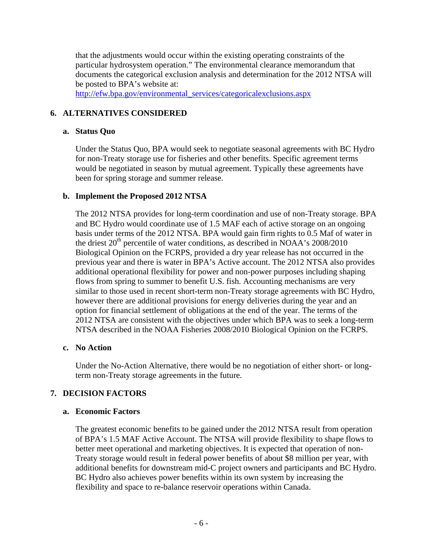that the adjustments would occur within the existing operating constraints of the particular hydrosystem operation." The environmental clearance memorandum that documents the categorical exclusion analysis and determination for the 2012 NTSA will be posted to BPA's website at:

[http://efw.bpa.gov/environmental\\_services/categoricalexclusions.aspx](http://efw.bpa.gov/environmental_services/categoricalexclusions.aspx)

# **6. ALTERNATIVES CONSIDERED**

### **a. Status Quo**

Under the Status Quo, BPA would seek to negotiate seasonal agreements with BC Hydro for non-Treaty storage use for fisheries and other benefits. Specific agreement terms would be negotiated in season by mutual agreement. Typically these agreements have been for spring storage and summer release.

# **b. Implement the Proposed 2012 NTSA**

The 2012 NTSA provides for long-term coordination and use of non-Treaty storage. BPA and BC Hydro would coordinate use of 1.5 MAF each of active storage on an ongoing basis under terms of the 2012 NTSA. BPA would gain firm rights to 0.5 Maf of water in the driest  $20<sup>th</sup>$  percentile of water conditions, as described in NOAA's  $2008/2010$ Biological Opinion on the FCRPS, provided a dry year release has not occurred in the previous year and there is water in BPA's Active account. The 2012 NTSA also provides additional operational flexibility for power and non-power purposes including shaping flows from spring to summer to benefit U.S. fish. Accounting mechanisms are very similar to those used in recent short-term non-Treaty storage agreements with BC Hydro, however there are additional provisions for energy deliveries during the year and an option for financial settlement of obligations at the end of the year. The terms of the 2012 NTSA are consistent with the objectives under which BPA was to seek a long-term NTSA described in the NOAA Fisheries 2008/2010 Biological Opinion on the FCRPS.

# **c. No Action**

Under the No-Action Alternative, there would be no negotiation of either short- or longterm non-Treaty storage agreements in the future.

# **7. DECISION FACTORS**

# **a. Economic Factors**

The greatest economic benefits to be gained under the 2012 NTSA result from operation of BPA's 1.5 MAF Active Account. The NTSA will provide flexibility to shape flows to better meet operational and marketing objectives. It is expected that operation of non-Treaty storage would result in federal power benefits of about \$8 million per year, with additional benefits for downstream mid-C project owners and participants and BC Hydro. BC Hydro also achieves power benefits within its own system by increasing the flexibility and space to re-balance reservoir operations within Canada.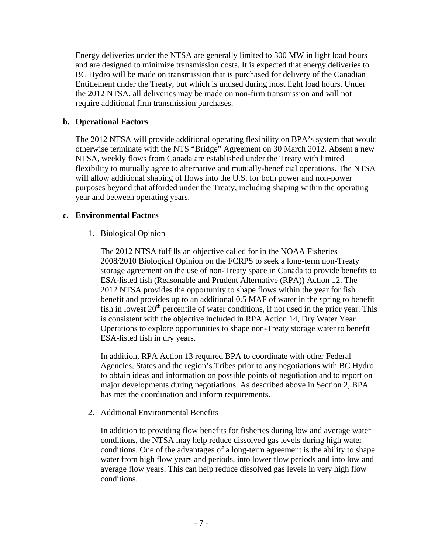Energy deliveries under the NTSA are generally limited to 300 MW in light load hours and are designed to minimize transmission costs. It is expected that energy deliveries to BC Hydro will be made on transmission that is purchased for delivery of the Canadian Entitlement under the Treaty, but which is unused during most light load hours. Under the 2012 NTSA, all deliveries may be made on non-firm transmission and will not require additional firm transmission purchases.

### **b. Operational Factors**

The 2012 NTSA will provide additional operating flexibility on BPA's system that would otherwise terminate with the NTS "Bridge" Agreement on 30 March 2012. Absent a new NTSA, weekly flows from Canada are established under the Treaty with limited flexibility to mutually agree to alternative and mutually-beneficial operations. The NTSA will allow additional shaping of flows into the U.S. for both power and non-power purposes beyond that afforded under the Treaty, including shaping within the operating year and between operating years.

### **c. Environmental Factors**

### 1. Biological Opinion

The 2012 NTSA fulfills an objective called for in the NOAA Fisheries 2008/2010 Biological Opinion on the FCRPS to seek a long-term non-Treaty storage agreement on the use of non-Treaty space in Canada to provide benefits to ESA-listed fish (Reasonable and Prudent Alternative (RPA)) Action 12. The 2012 NTSA provides the opportunity to shape flows within the year for fish benefit and provides up to an additional 0.5 MAF of water in the spring to benefit fish in lowest  $20<sup>th</sup>$  percentile of water conditions, if not used in the prior year. This is consistent with the objective included in RPA Action 14, Dry Water Year Operations to explore opportunities to shape non-Treaty storage water to benefit ESA-listed fish in dry years.

In addition, RPA Action 13 required BPA to coordinate with other Federal Agencies, States and the region's Tribes prior to any negotiations with BC Hydro to obtain ideas and information on possible points of negotiation and to report on major developments during negotiations. As described above in Section 2, BPA has met the coordination and inform requirements.

2. Additional Environmental Benefits

In addition to providing flow benefits for fisheries during low and average water conditions, the NTSA may help reduce dissolved gas levels during high water conditions. One of the advantages of a long-term agreement is the ability to shape water from high flow years and periods, into lower flow periods and into low and average flow years. This can help reduce dissolved gas levels in very high flow conditions.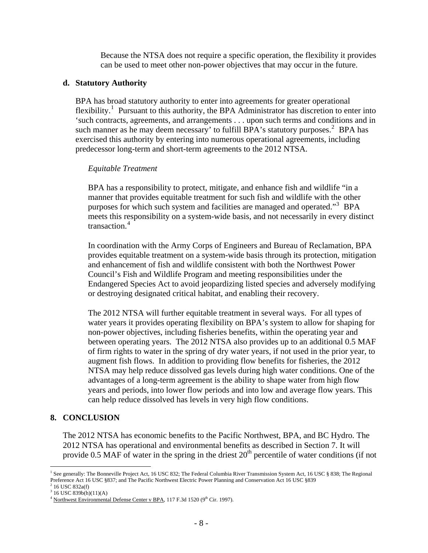Because the NTSA does not require a specific operation, the flexibility it provides can be used to meet other non-power objectives that may occur in the future.

#### **d. Statutory Authority**

BPA has broad statutory authority to enter into agreements for greater operational flexibility.<sup>[1](#page-7-0)</sup> Pursuant to this authority, the BPA Administrator has discretion to enter into 'such contracts, agreements, and arrangements . . . upon such terms and conditions and in such manner as he may deem necessary' to fulfill BPA's statutory purposes.<sup>[2](#page-7-1)</sup> BPA has exercised this authority by entering into numerous operational agreements, including predecessor long-term and short-term agreements to the 2012 NTSA.

#### *Equitable Treatment*

BPA has a responsibility to protect, mitigate, and enhance fish and wildlife "in a manner that provides equitable treatment for such fish and wildlife with the other purposes for which such system and facilities are managed and operated."<sup>[3](#page-7-2)</sup> BPA meets this responsibility on a system-wide basis, and not necessarily in every distinct transaction.<sup>[4](#page-7-3)</sup>

In coordination with the Army Corps of Engineers and Bureau of Reclamation, BPA provides equitable treatment on a system-wide basis through its protection, mitigation and enhancement of fish and wildlife consistent with both the Northwest Power Council's Fish and Wildlife Program and meeting responsibilities under the Endangered Species Act to avoid jeopardizing listed species and adversely modifying or destroying designated critical habitat, and enabling their recovery.

The 2012 NTSA will further equitable treatment in several ways. For all types of water years it provides operating flexibility on BPA's system to allow for shaping for non-power objectives, including fisheries benefits, within the operating year and between operating years. The 2012 NTSA also provides up to an additional 0.5 MAF of firm rights to water in the spring of dry water years, if not used in the prior year, to augment fish flows. In addition to providing flow benefits for fisheries, the 2012 NTSA may help reduce dissolved gas levels during high water conditions. One of the advantages of a long-term agreement is the ability to shape water from high flow years and periods, into lower flow periods and into low and average flow years. This can help reduce dissolved has levels in very high flow conditions.

#### **8. CONCLUSION**

The 2012 NTSA has economic benefits to the Pacific Northwest, BPA, and BC Hydro. The 2012 NTSA has operational and environmental benefits as described in Section 7. It will provide 0.5 MAF of water in the spring in the driest  $20<sup>th</sup>$  percentile of water conditions (if not

<span id="page-7-0"></span><sup>1&</sup>lt;br><sup>1</sup> See generally: The Bonneville Project Act, 16 USC 832; The Federal Columbia River Transmission System Act, 16 USC § 838; The Regional Preference Act 16 USC §837; and The Pacific Northwest Electric Power Planning and Conservation Act 16 USC §839 2

<span id="page-7-1"></span> $2$  16 USC 832a(f)

<span id="page-7-2"></span> $3\,$  16 USC 839b(h)(11)(A)

<span id="page-7-3"></span> $4 \text{ Northwest Environmental Defense Center}$  v BPA, 117 F.3d 1520 (9<sup>th</sup> Cir. 1997).